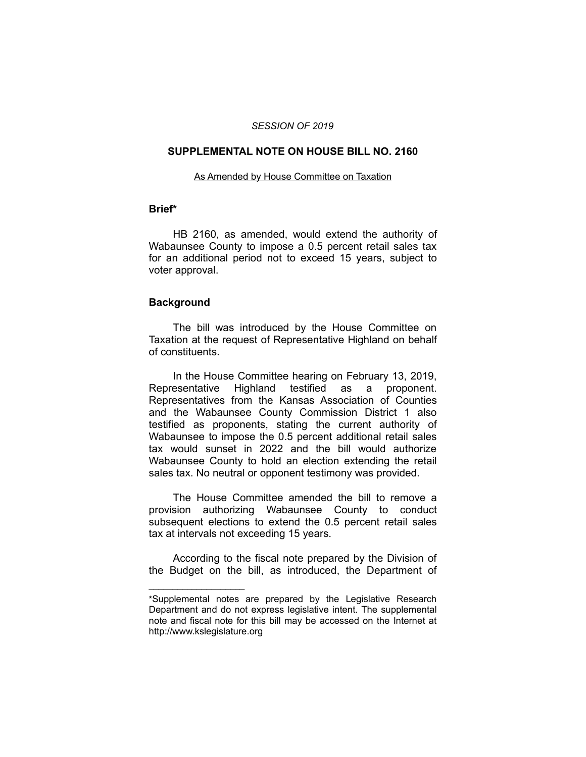### *SESSION OF 2019*

# **SUPPLEMENTAL NOTE ON HOUSE BILL NO. 2160**

#### As Amended by House Committee on Taxation

# **Brief\***

HB 2160, as amended, would extend the authority of Wabaunsee County to impose a 0.5 percent retail sales tax for an additional period not to exceed 15 years, subject to voter approval.

### **Background**

 $\overline{\phantom{a}}$  , where  $\overline{\phantom{a}}$ 

The bill was introduced by the House Committee on Taxation at the request of Representative Highland on behalf of constituents.

In the House Committee hearing on February 13, 2019, Representative Highland testified as a proponent. Representatives from the Kansas Association of Counties and the Wabaunsee County Commission District 1 also testified as proponents, stating the current authority of Wabaunsee to impose the 0.5 percent additional retail sales tax would sunset in 2022 and the bill would authorize Wabaunsee County to hold an election extending the retail sales tax. No neutral or opponent testimony was provided.

The House Committee amended the bill to remove a provision authorizing Wabaunsee County to conduct subsequent elections to extend the 0.5 percent retail sales tax at intervals not exceeding 15 years.

According to the fiscal note prepared by the Division of the Budget on the bill, as introduced, the Department of

<sup>\*</sup>Supplemental notes are prepared by the Legislative Research Department and do not express legislative intent. The supplemental note and fiscal note for this bill may be accessed on the Internet at http://www.kslegislature.org